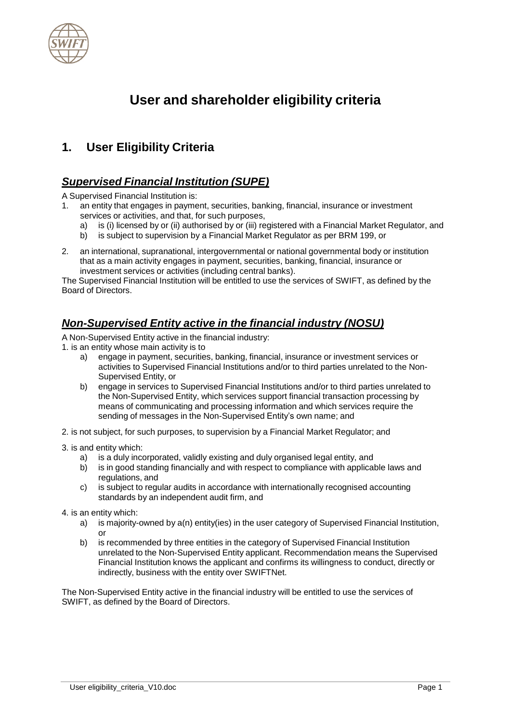

# **User and shareholder eligibility criteria**

# **1. User Eligibility Criteria**

# *Supervised Financial Institution (SUPE)*

A Supervised Financial Institution is:

- 1. an entity that engages in payment, securities, banking, financial, insurance or investment services or activities, and that, for such purposes,
	- a) is (i) licensed by or (ii) authorised by or (iii) registered with a Financial Market Regulator, and
	- b) is subject to supervision by a Financial Market Regulator as per BRM 199, or
- 2. an international, supranational, intergovernmental or national governmental body or institution that as a main activity engages in payment, securities, banking, financial, insurance or investment services or activities (including central banks).

The Supervised Financial Institution will be entitled to use the services of SWIFT, as defined by the Board of Directors.

# *Non-Supervised Entity active in the financial industry (NOSU)*

A Non-Supervised Entity active in the financial industry:

- 1. is an entity whose main activity is to
	- a) engage in payment, securities, banking, financial, insurance or investment services or activities to Supervised Financial Institutions and/or to third parties unrelated to the Non-Supervised Entity, or
	- b) engage in services to Supervised Financial Institutions and/or to third parties unrelated to the Non-Supervised Entity, which services support financial transaction processing by means of communicating and processing information and which services require the sending of messages in the Non-Supervised Entity's own name; and
- 2. is not subject, for such purposes, to supervision by a Financial Market Regulator; and
- 3. is and entity which:
	- a) is a duly incorporated, validly existing and duly organised legal entity, and
	- b) is in good standing financially and with respect to compliance with applicable laws and regulations, and
	- c) is subject to regular audits in accordance with internationally recognised accounting standards by an independent audit firm, and
- 4. is an entity which:
	- a) is majority-owned by a(n) entity(ies) in the user category of Supervised Financial Institution, or
	- b) is recommended by three entities in the category of Supervised Financial Institution unrelated to the Non-Supervised Entity applicant. Recommendation means the Supervised Financial Institution knows the applicant and confirms its willingness to conduct, directly or indirectly, business with the entity over SWIFTNet.

The Non-Supervised Entity active in the financial industry will be entitled to use the services of SWIFT, as defined by the Board of Directors.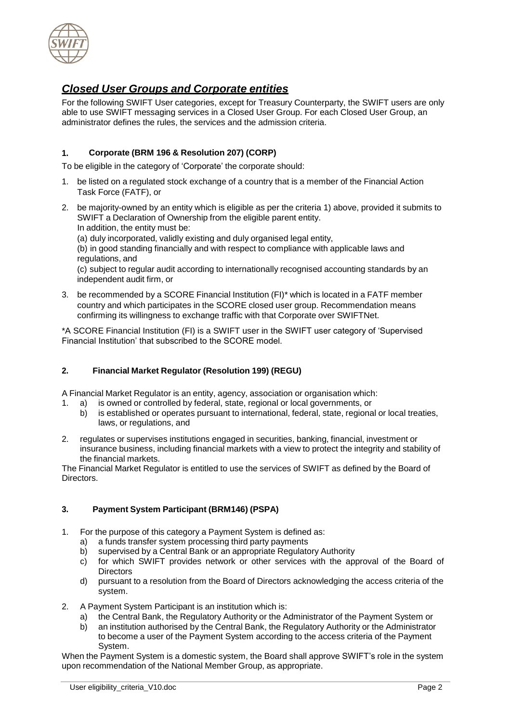

# *Closed User Groups and Corporate entities*

For the following SWIFT User categories, except for Treasury Counterparty, the SWIFT users are only able to use SWIFT messaging services in a Closed User Group. For each Closed User Group, an administrator defines the rules, the services and the admission criteria.

# **1. Corporate (BRM 196 & Resolution 207) (CORP)**

To be eligible in the category of 'Corporate' the corporate should:

- 1. be listed on a regulated stock exchange of a country that is a member of the Financial Action Task Force (FATF), or
- 2. be majority-owned by an entity which is eligible as per the criteria 1) above, provided it submits to SWIFT a Declaration of Ownership from the eligible parent entity. In addition, the entity must be:

(a) duly incorporated, validly existing and duly organised legal entity,

(b) in good standing financially and with respect to compliance with applicable laws and regulations, and

(c) subject to regular audit according to internationally recognised accounting standards by an independent audit firm, or

3. be recommended by a SCORE Financial Institution (FI)\* which is located in a FATF member country and which participates in the SCORE closed user group. Recommendation means confirming its willingness to exchange traffic with that Corporate over SWIFTNet.

\*A SCORE Financial Institution (FI) is a SWIFT user in the SWIFT user category of 'Supervised Financial Institution' that subscribed to the SCORE model.

# **2. Financial Market Regulator (Resolution 199) (REGU)**

A Financial Market Regulator is an entity, agency, association or organisation which:

- 1. a) is owned or controlled by federal, state, regional or local governments, or
	- b) is established or operates pursuant to international, federal, state, regional or local treaties, laws, or regulations, and
- 2. regulates or supervises institutions engaged in securities, banking, financial, investment or insurance business, including financial markets with a view to protect the integrity and stability of the financial markets.

The Financial Market Regulator is entitled to use the services of SWIFT as defined by the Board of Directors.

### **3. Payment System Participant (BRM146) (PSPA)**

- 1. For the purpose of this category a Payment System is defined as:
	- a) a funds transfer system processing third party payments
	- b) supervised by a Central Bank or an appropriate Regulatory Authority
	- c) for which SWIFT provides network or other services with the approval of the Board of **Directors**
	- d) pursuant to a resolution from the Board of Directors acknowledging the access criteria of the system.
- 2. A Payment System Participant is an institution which is:
	- a) the Central Bank, the Regulatory Authority or the Administrator of the Payment System or
	- b) an institution authorised by the Central Bank, the Regulatory Authority or the Administrator to become a user of the Payment System according to the access criteria of the Payment System.

When the Payment System is a domestic system, the Board shall approve SWIFT's role in the system upon recommendation of the National Member Group, as appropriate.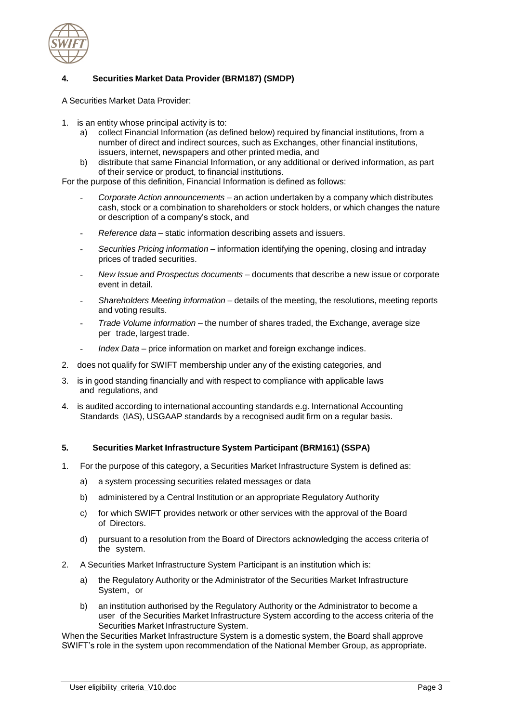

# **4. Securities Market Data Provider (BRM187) (SMDP)**

A Securities Market Data Provider:

- 1. is an entity whose principal activity is to:
	- a) collect Financial Information (as defined below) required by financial institutions, from a number of direct and indirect sources, such as Exchanges, other financial institutions, issuers, internet, newspapers and other printed media, and
	- b) distribute that same Financial Information, or any additional or derived information, as part of their service or product, to financial institutions.

For the purpose of this definition, Financial Information is defined as follows:

- *Corporate Action announcements* an action undertaken by a company which distributes cash, stock or a combination to shareholders or stock holders, or which changes the nature or description of a company's stock, and
- *Reference data* static information describing assets and issuers.
- *Securities Pricing information* information identifying the opening, closing and intraday prices of traded securities.
- *New Issue and Prospectus documents* documents that describe a new issue or corporate event in detail.
- *Shareholders Meeting information* details of the meeting, the resolutions, meeting reports and voting results.
- *Trade Volume information* the number of shares traded, the Exchange, average size per trade, largest trade.
- *Index Data* price information on market and foreign exchange indices.
- 2. does not qualify for SWIFT membership under any of the existing categories, and
- 3. is in good standing financially and with respect to compliance with applicable laws and regulations, and
- 4. is audited according to international accounting standards e.g. International Accounting Standards (IAS), USGAAP standards by a recognised audit firm on a regular basis.

#### **5. Securities Market Infrastructure System Participant (BRM161) (SSPA)**

- 1. For the purpose of this category, a Securities Market Infrastructure System is defined as:
	- a) a system processing securities related messages or data
	- b) administered by a Central Institution or an appropriate Regulatory Authority
	- c) for which SWIFT provides network or other services with the approval of the Board of Directors.
	- d) pursuant to a resolution from the Board of Directors acknowledging the access criteria of the system.
- 2. A Securities Market Infrastructure System Participant is an institution which is:
	- a) the Regulatory Authority or the Administrator of the Securities Market Infrastructure System, or
	- b) an institution authorised by the Regulatory Authority or the Administrator to become a user of the Securities Market Infrastructure System according to the access criteria of the Securities Market Infrastructure System.

When the Securities Market Infrastructure System is a domestic system, the Board shall approve SWIFT's role in the system upon recommendation of the National Member Group, as appropriate.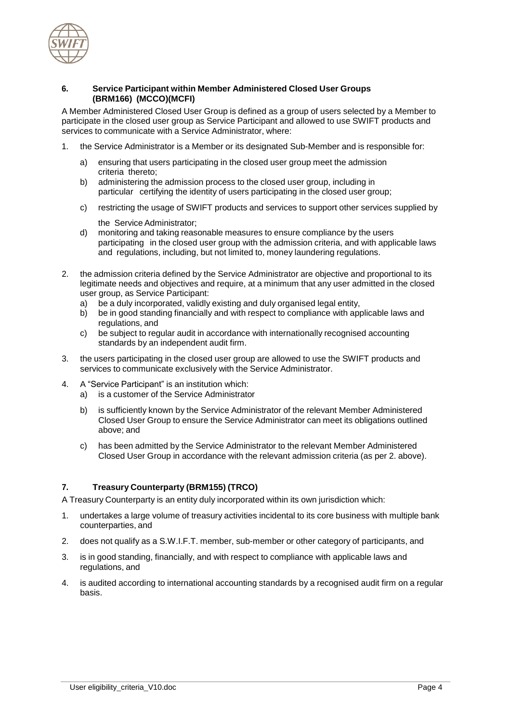

#### **6. Service Participant within Member Administered Closed User Groups (BRM166) (MCCO)(MCFI)**

A Member Administered Closed User Group is defined as a group of users selected by a Member to participate in the closed user group as Service Participant and allowed to use SWIFT products and services to communicate with a Service Administrator, where:

- 1. the Service Administrator is a Member or its designated Sub-Member and is responsible for:
	- a) ensuring that users participating in the closed user group meet the admission criteria thereto;
	- b) administering the admission process to the closed user group, including in particular certifying the identity of users participating in the closed user group;
	- c) restricting the usage of SWIFT products and services to support other services supplied by

the Service Administrator;

- d) monitoring and taking reasonable measures to ensure compliance by the users participating in the closed user group with the admission criteria, and with applicable laws and regulations, including, but not limited to, money laundering regulations.
- 2. the admission criteria defined by the Service Administrator are objective and proportional to its legitimate needs and objectives and require, at a minimum that any user admitted in the closed user group, as Service Participant:
	- a) be a duly incorporated, validly existing and duly organised legal entity,
	- b) be in good standing financially and with respect to compliance with applicable laws and regulations, and
	- c) be subject to regular audit in accordance with internationally recognised accounting standards by an independent audit firm.
- 3. the users participating in the closed user group are allowed to use the SWIFT products and services to communicate exclusively with the Service Administrator.
- 4. A "Service Participant" is an institution which:
	- a) is a customer of the Service Administrator
	- b) is sufficiently known by the Service Administrator of the relevant Member Administered Closed User Group to ensure the Service Administrator can meet its obligations outlined above; and
	- c) has been admitted by the Service Administrator to the relevant Member Administered Closed User Group in accordance with the relevant admission criteria (as per 2. above).

# **7. Treasury Counterparty (BRM155) (TRCO)**

A Treasury Counterparty is an entity duly incorporated within its own jurisdiction which:

- 1. undertakes a large volume of treasury activities incidental to its core business with multiple bank counterparties, and
- 2. does not qualify as a S.W.I.F.T. member, sub-member or other category of participants, and
- 3. is in good standing, financially, and with respect to compliance with applicable laws and regulations, and
- 4. is audited according to international accounting standards by a recognised audit firm on a regular basis.